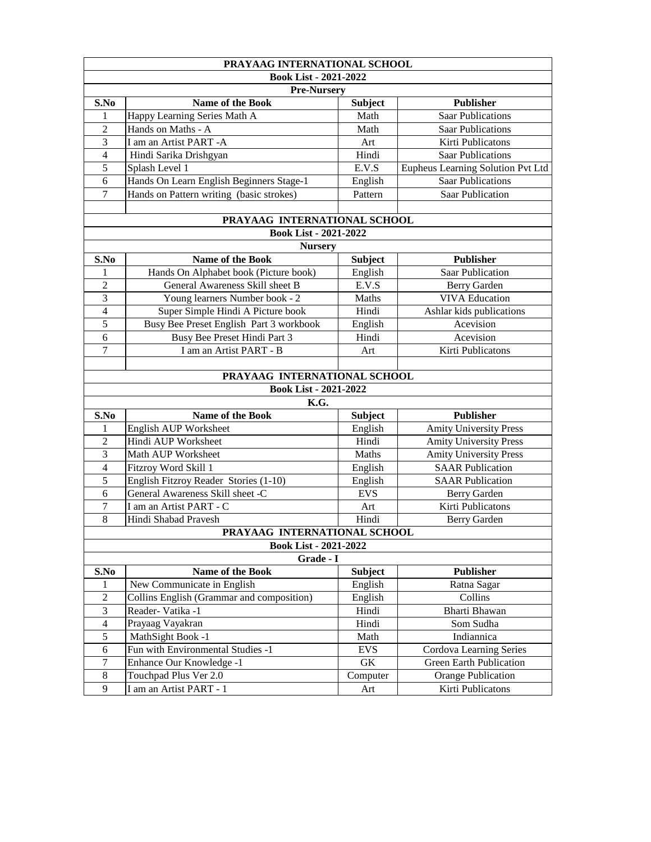| PRAYAAG INTERNATIONAL SCHOOL |                                           |                |                                          |  |  |  |  |
|------------------------------|-------------------------------------------|----------------|------------------------------------------|--|--|--|--|
| <b>Book List - 2021-2022</b> |                                           |                |                                          |  |  |  |  |
| <b>Pre-Nursery</b>           |                                           |                |                                          |  |  |  |  |
| S.No                         | <b>Name of the Book</b>                   | <b>Subject</b> | <b>Publisher</b>                         |  |  |  |  |
| $\mathbf{1}$                 | Happy Learning Series Math A              | Math           | <b>Saar Publications</b>                 |  |  |  |  |
| $\overline{2}$               | Hands on Maths - A                        | Math           | <b>Saar Publications</b>                 |  |  |  |  |
| 3                            | I am an Artist PART -A                    | Art            | Kirti Publicatons                        |  |  |  |  |
| 4                            | Hindi Sarika Drishgyan                    | Hindi          | <b>Saar Publications</b>                 |  |  |  |  |
| 5                            | Splash Level 1                            | E.V.S          | <b>Eupheus Learning Solution Pvt Ltd</b> |  |  |  |  |
| 6                            | Hands On Learn English Beginners Stage-1  | English        | <b>Saar Publications</b>                 |  |  |  |  |
| 7                            | Hands on Pattern writing (basic strokes)  | Pattern        | <b>Saar Publication</b>                  |  |  |  |  |
|                              |                                           |                |                                          |  |  |  |  |
|                              | PRAYAAG INTERNATIONAL SCHOOL              |                |                                          |  |  |  |  |
|                              | <b>Book List - 2021-2022</b>              |                |                                          |  |  |  |  |
|                              | <b>Nursery</b>                            |                |                                          |  |  |  |  |
| S.No                         | <b>Name of the Book</b>                   | <b>Subject</b> | <b>Publisher</b>                         |  |  |  |  |
| 1                            | Hands On Alphabet book (Picture book)     | English        | <b>Saar Publication</b>                  |  |  |  |  |
| $\overline{2}$               | General Awareness Skill sheet B           | E.V.S          | <b>Berry Garden</b>                      |  |  |  |  |
| 3                            | Young learners Number book - 2            | <b>Maths</b>   | <b>VIVA Education</b>                    |  |  |  |  |
| $\overline{4}$               | Super Simple Hindi A Picture book         | Hindi          | Ashlar kids publications                 |  |  |  |  |
| 5                            | Busy Bee Preset English Part 3 workbook   | English        | Acevision                                |  |  |  |  |
| 6                            | Busy Bee Preset Hindi Part 3              | Hindi          | Acevision                                |  |  |  |  |
| $\overline{7}$               | I am an Artist PART - B                   | Art            | Kirti Publicatons                        |  |  |  |  |
|                              |                                           |                |                                          |  |  |  |  |
|                              | PRAYAAG INTERNATIONAL SCHOOL              |                |                                          |  |  |  |  |
|                              | <b>Book List - 2021-2022</b>              |                |                                          |  |  |  |  |
|                              | K.G.                                      |                |                                          |  |  |  |  |
| S.No                         | <b>Name of the Book</b>                   | <b>Subject</b> | <b>Publisher</b>                         |  |  |  |  |
| $\mathbf{1}$                 | English AUP Worksheet                     | English        | <b>Amity University Press</b>            |  |  |  |  |
| $\overline{2}$               | Hindi AUP Worksheet                       | Hindi          | <b>Amity University Press</b>            |  |  |  |  |
| 3                            | Math AUP Worksheet                        | <b>Maths</b>   | <b>Amity University Press</b>            |  |  |  |  |
| 4                            | Fitzroy Word Skill 1                      | English        | <b>SAAR Publication</b>                  |  |  |  |  |
| 5                            | English Fitzroy Reader Stories (1-10)     | English        | <b>SAAR Publication</b>                  |  |  |  |  |
| 6                            | General Awareness Skill sheet -C          | <b>EVS</b>     | <b>Berry Garden</b>                      |  |  |  |  |
| 7                            | I am an Artist PART - C                   | Art            | Kirti Publicatons                        |  |  |  |  |
| 8                            | Hindi Shabad Pravesh                      | Hindi          | <b>Berry Garden</b>                      |  |  |  |  |
| PRAYAAG INTERNATIONAL SCHOOL |                                           |                |                                          |  |  |  |  |
| <b>Book List - 2021-2022</b> |                                           |                |                                          |  |  |  |  |
| Grade - I                    |                                           |                |                                          |  |  |  |  |
| S.No                         | <b>Name of the Book</b>                   | <b>Subject</b> | <b>Publisher</b>                         |  |  |  |  |
| 1                            | New Communicate in English                | English        | Ratna Sagar                              |  |  |  |  |
| $\overline{2}$               | Collins English (Grammar and composition) | English        | Collins                                  |  |  |  |  |
| 3                            | Reader-Vatika -1                          | Hindi          | <b>Bharti Bhawan</b>                     |  |  |  |  |
| 4                            | Prayaag Vayakran                          | Hindi          | Som Sudha                                |  |  |  |  |
| 5                            | MathSight Book -1                         | Math           | Indiannica                               |  |  |  |  |
| 6                            | Fun with Environmental Studies -1         | <b>EVS</b>     | <b>Cordova Learning Series</b>           |  |  |  |  |

|  | Enhance Our Knowledge -1 | GК       | <b>Green Earth Publication</b> |
|--|--------------------------|----------|--------------------------------|
|  | Touchpad Plus Ver 2.0    | Computer | <b>Orange Publication</b>      |
|  | I am an Artist PART -    | Art      | Kirti Publicatons              |